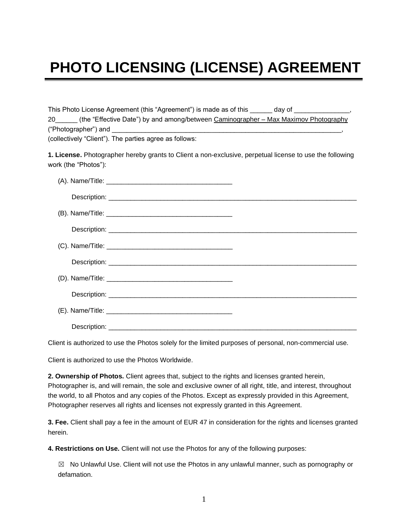## **PHOTO LICENSING (LICENSE) AGREEMENT**

| This Photo License Agreement (this "Agreement") is made as of this day of                                |
|----------------------------------------------------------------------------------------------------------|
| 20 _____ (the "Effective Date") by and among/between Caminographer – Max Maximov Photography             |
| ("Photographer") and $\frac{1}{\sqrt{1-\frac{1}{2}}}\left  \frac{1}{\sqrt{1-\frac{1}{2}}}\right $        |
| (collectively "Client"). The parties agree as follows:                                                   |
| 1. License. Photographer hereby grants to Client a non-exclusive, perpetual license to use the following |

Client is authorized to use the Photos solely for the limited purposes of personal, non-commercial use.

Client is authorized to use the Photos Worldwide.

work (the "Photos"):

**2. Ownership of Photos.** Client agrees that, subject to the rights and licenses granted herein, Photographer is, and will remain, the sole and exclusive owner of all right, title, and interest, throughout the world, to all Photos and any copies of the Photos. Except as expressly provided in this Agreement, Photographer reserves all rights and licenses not expressly granted in this Agreement.

**3. Fee.** Client shall pay a fee in the amount of EUR 47 in consideration for the rights and licenses granted herein.

**4. Restrictions on Use.** Client will not use the Photos for any of the following purposes:

☒ No Unlawful Use. Client will not use the Photos in any unlawful manner, such as pornography or defamation.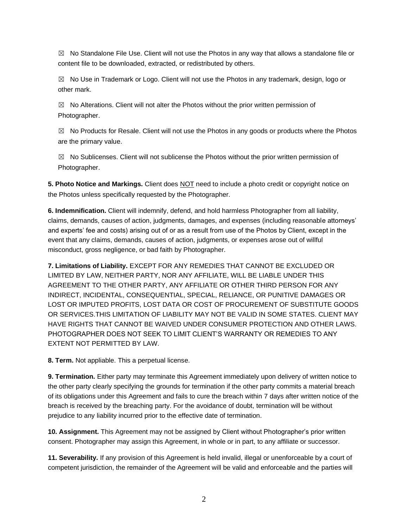$\boxtimes$  No Standalone File Use. Client will not use the Photos in any way that allows a standalone file or content file to be downloaded, extracted, or redistributed by others.

 $\boxtimes$  No Use in Trademark or Logo. Client will not use the Photos in any trademark, design, logo or other mark.

 $\boxtimes$  No Alterations. Client will not alter the Photos without the prior written permission of Photographer.

 $\boxtimes$  No Products for Resale. Client will not use the Photos in any goods or products where the Photos are the primary value.

 $\boxtimes$  No Sublicenses. Client will not sublicense the Photos without the prior written permission of Photographer.

**5. Photo Notice and Markings.** Client does NOT need to include a photo credit or copyright notice on the Photos unless specifically requested by the Photographer.

**6. Indemnification.** Client will indemnify, defend, and hold harmless Photographer from all liability, claims, demands, causes of action, judgments, damages, and expenses (including reasonable attorneys' and experts' fee and costs) arising out of or as a result from use of the Photos by Client, except in the event that any claims, demands, causes of action, judgments, or expenses arose out of willful misconduct, gross negligence, or bad faith by Photographer.

**7. Limitations of Liability.** EXCEPT FOR ANY REMEDIES THAT CANNOT BE EXCLUDED OR LIMITED BY LAW, NEITHER PARTY, NOR ANY AFFILIATE, WILL BE LIABLE UNDER THIS AGREEMENT TO THE OTHER PARTY, ANY AFFILIATE OR OTHER THIRD PERSON FOR ANY INDIRECT, INCIDENTAL, CONSEQUENTIAL, SPECIAL, RELIANCE, OR PUNITIVE DAMAGES OR LOST OR IMPUTED PROFITS, LOST DATA OR COST OF PROCUREMENT OF SUBSTITUTE GOODS OR SERVICES.THIS LIMITATION OF LIABILITY MAY NOT BE VALID IN SOME STATES. CLIENT MAY HAVE RIGHTS THAT CANNOT BE WAIVED UNDER CONSUMER PROTECTION AND OTHER LAWS. PHOTOGRAPHER DOES NOT SEEK TO LIMIT CLIENT'S WARRANTY OR REMEDIES TO ANY EXTENT NOT PERMITTED BY LAW.

**8. Term.** Not appliable. This a perpetual license.

**9. Termination.** Either party may terminate this Agreement immediately upon delivery of written notice to the other party clearly specifying the grounds for termination if the other party commits a material breach of its obligations under this Agreement and fails to cure the breach within 7 days after written notice of the breach is received by the breaching party. For the avoidance of doubt, termination will be without prejudice to any liability incurred prior to the effective date of termination.

**10. Assignment.** This Agreement may not be assigned by Client without Photographer's prior written consent. Photographer may assign this Agreement, in whole or in part, to any affiliate or successor.

**11. Severability.** If any provision of this Agreement is held invalid, illegal or unenforceable by a court of competent jurisdiction, the remainder of the Agreement will be valid and enforceable and the parties will